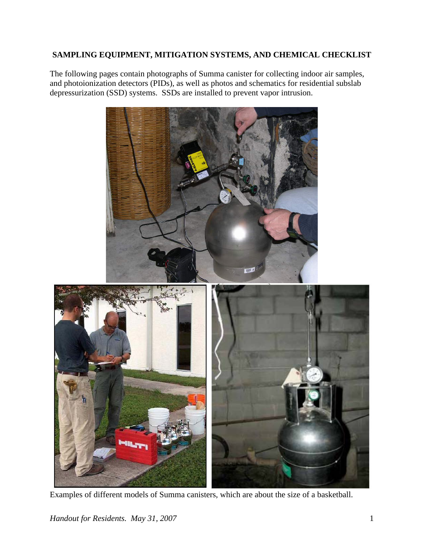# **SAMPLING EQUIPMENT, MITIGATION SYSTEMS, AND CHEMICAL CHECKLIST**

The following pages contain photographs of Summa canister for collecting indoor air samples, and photoionization detectors (PIDs), as well as photos and schematics for residential subslab depressurization (SSD) systems. SSDs are installed to prevent vapor intrusion.



Examples of different models of Summa canisters, which are about the size of a basketball.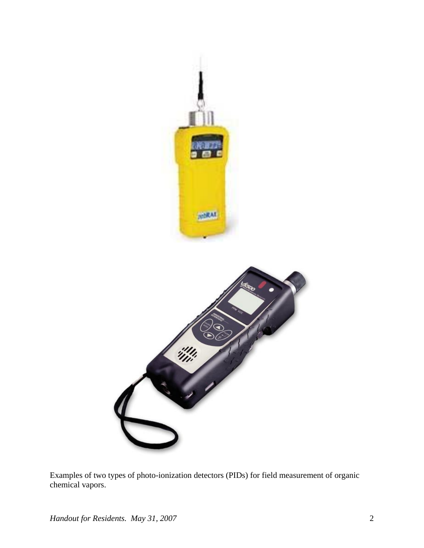

Examples of two types of photo-ionization detectors (PIDs) for field measurement of organic chemical vapors.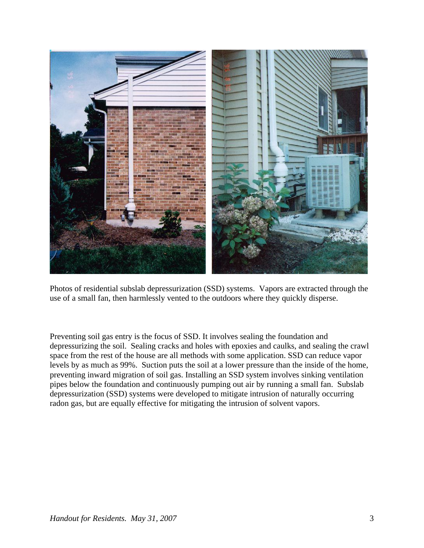

Photos of residential subslab depressurization (SSD) systems. Vapors are extracted through the use of a small fan, then harmlessly vented to the outdoors where they quickly disperse.

Preventing soil gas entry is the focus of SSD. It involves sealing the foundation and depressurizing the soil. Sealing cracks and holes with epoxies and caulks, and sealing the crawl space from the rest of the house are all methods with some application. SSD can reduce vapor levels by as much as 99%. Suction puts the soil at a lower pressure than the inside of the home, preventing inward migration of soil gas. Installing an SSD system involves sinking ventilation pipes below the foundation and continuously pumping out air by running a small fan. Subslab depressurization (SSD) systems were developed to mitigate intrusion of naturally occurring radon gas, but are equally effective for mitigating the intrusion of solvent vapors.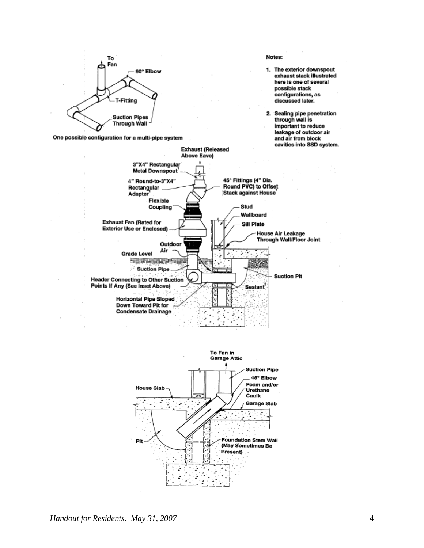

One possible configuration for a multi-pipe system



- 1. The exterior downspout exhaust stack illustrated here is one of several possible stack configurations, as discussed later.
- 2. Sealing pipe penetration<br>through wall is important to reduce leakage of outdoor air and air from block cavities into SSD system.



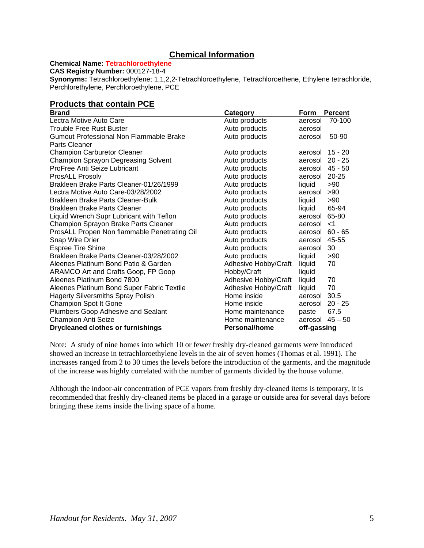### **Chemical Information**

**Chemical Name: Tetrachloroethylene**

**CAS Registry Number:** 000127-18-4

**Synonyms:** Tetrachloroethylene; 1,1,2,2-Tetrachloroethylene, Tetrachloroethene, Ethylene tetrachloride, Perchlorethylene, Perchloroethylene, PCE

# **Products that contain PCE**

| <b>Brand</b>                                 | Category             | Form        | <b>Percent</b> |
|----------------------------------------------|----------------------|-------------|----------------|
| Lectra Motive Auto Care                      | Auto products        | aerosol     | 70-100         |
| <b>Trouble Free Rust Buster</b>              | Auto products        | aerosol     |                |
| Gumout Professional Non Flammable Brake      | Auto products        | aerosol     | 50-90          |
| Parts Cleaner                                |                      |             |                |
| <b>Champion Carburetor Cleaner</b>           | Auto products        | aerosol     | $15 - 20$      |
| <b>Champion Sprayon Degreasing Solvent</b>   | Auto products        | aerosol     | $20 - 25$      |
| ProFree Anti Seize Lubricant                 | Auto products        | aerosol     | $45 - 50$      |
| <b>ProsALL Prosolv</b>                       | Auto products        | aerosol     | $20 - 25$      |
| Brakleen Brake Parts Cleaner-01/26/1999      | Auto products        | liquid      | >90            |
| Lectra Motive Auto Care-03/28/2002           | Auto products        | aerosol     | >90            |
| Brakleen Brake Parts Cleaner-Bulk            | Auto products        | liquid      | >90            |
| <b>Brakleen Brake Parts Cleaner</b>          | Auto products        | liquid      | 65-94          |
| Liquid Wrench Supr Lubricant with Teflon     | Auto products        | aerosol     | 65-80          |
| Champion Sprayon Brake Parts Cleaner         | Auto products        | aerosol     | $<$ 1          |
| ProsALL Propen Non flammable Penetrating Oil | Auto products        | aerosol     | $60 - 65$      |
| Snap Wire Drier                              | Auto products        | aerosol     | 45-55          |
| <b>Espree Tire Shine</b>                     | Auto products        | aerosol     | 30             |
| Brakleen Brake Parts Cleaner-03/28/2002      | Auto products        | liquid      | >90            |
| Aleenes Platinum Bond Patio & Garden         | Adhesive Hobby/Craft | liquid      | 70             |
| ARAMCO Art and Crafts Goop, FP Goop          | Hobby/Craft          | liquid      |                |
| Aleenes Platinum Bond 7800                   | Adhesive Hobby/Craft | liquid      | 70             |
| Aleenes Platinum Bond Super Fabric Textile   | Adhesive Hobby/Craft | liquid      | 70             |
| <b>Hagerty Silversmiths Spray Polish</b>     | Home inside          | aerosol     | 30.5           |
| Champion Spot It Gone                        | Home inside          | aerosol     | $20 - 25$      |
| Plumbers Goop Adhesive and Sealant           | Home maintenance     | paste       | 67.5           |
| <b>Champion Anti Seize</b>                   | Home maintenance     | aerosol     | $45 - 50$      |
| <b>Drycleaned clothes or furnishings</b>     | Personal/home        | off-gassing |                |

Note: A study of nine homes into which 10 or fewer freshly dry-cleaned garments were introduced showed an increase in tetrachloroethylene levels in the air of seven homes (Thomas et al. 1991). The increases ranged from 2 to 30 times the levels before the introduction of the garments, and the magnitude of the increase was highly correlated with the number of garments divided by the house volume.

Although the indoor-air concentration of PCE vapors from freshly dry-cleaned items is temporary, it is recommended that freshly dry-cleaned items be placed in a garage or outside area for several days before bringing these items inside the living space of a home.